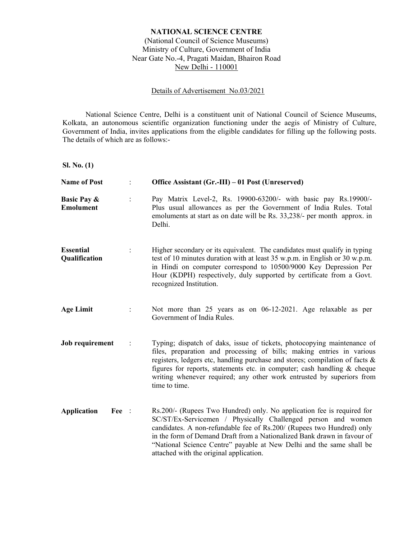## **NATIONAL SCIENCE CENTRE**

(National Council of Science Museums) Ministry of Culture, Government of India Near Gate No.-4, Pragati Maidan, Bhairon Road New Delhi - 110001

#### Details of Advertisement No.03/2021

National Science Centre, Delhi is a constituent unit of National Council of Science Museums, Kolkata, an autonomous scientific organization functioning under the aegis of Ministry of Culture, Government of India, invites applications from the eligible candidates for filling up the following posts. The details of which are as follows:-

**Sl. No. (1)** 

| <b>Name of Post</b>                        | $\ddot{\phantom{a}}$ | Office Assistant (Gr.-III) – 01 Post (Unreserved)                                                                                                                                                                                                                                                                                                                                                             |
|--------------------------------------------|----------------------|---------------------------------------------------------------------------------------------------------------------------------------------------------------------------------------------------------------------------------------------------------------------------------------------------------------------------------------------------------------------------------------------------------------|
| <b>Basic Pay &amp;</b><br><b>Emolument</b> | $\ddot{\cdot}$       | Pay Matrix Level-2, Rs. 19900-63200/- with basic pay Rs.19900/-<br>Plus usual allowances as per the Government of India Rules. Total<br>emoluments at start as on date will be Rs. 33,238/- per month approx. in<br>Delhi.                                                                                                                                                                                    |
| <b>Essential</b><br>Qualification          |                      | Higher secondary or its equivalent. The candidates must qualify in typing<br>test of 10 minutes duration with at least 35 w.p.m. in English or 30 w.p.m.<br>in Hindi on computer correspond to 10500/9000 Key Depression Per<br>Hour (KDPH) respectively, duly supported by certificate from a Govt.<br>recognized Institution.                                                                               |
| <b>Age Limit</b>                           | $\ddot{\cdot}$       | Not more than 25 years as on 06-12-2021. Age relaxable as per<br>Government of India Rules.                                                                                                                                                                                                                                                                                                                   |
| Job requirement                            |                      | Typing; dispatch of daks, issue of tickets, photocopying maintenance of<br>files, preparation and processing of bills; making entries in various<br>registers, ledgers etc, handling purchase and stores; compilation of facts &<br>figures for reports, statements etc. in computer; cash handling $&$ cheque<br>writing whenever required; any other work entrusted by superiors from<br>time to time.      |
| <b>Application</b><br>Fee :                |                      | Rs.200/- (Rupees Two Hundred) only. No application fee is required for<br>SC/ST/Ex-Servicemen / Physically Challenged person and women<br>candidates. A non-refundable fee of Rs.200/ (Rupees two Hundred) only<br>in the form of Demand Draft from a Nationalized Bank drawn in favour of<br>"National Science Centre" payable at New Delhi and the same shall be<br>attached with the original application. |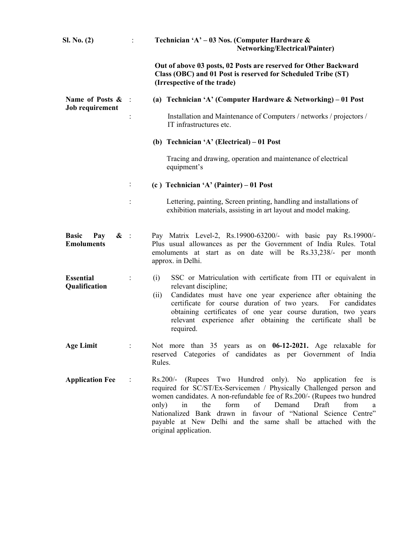| SL No. (2)                                                  | $\mathcal{L}^{\text{max}}$ | Technician 'A' - 03 Nos. (Computer Hardware &<br><b>Networking/Electrical/Painter)</b>                                                                                                                                                                                                                                                                                                                                                    |
|-------------------------------------------------------------|----------------------------|-------------------------------------------------------------------------------------------------------------------------------------------------------------------------------------------------------------------------------------------------------------------------------------------------------------------------------------------------------------------------------------------------------------------------------------------|
|                                                             |                            | Out of above 03 posts, 02 Posts are reserved for Other Backward<br>Class (OBC) and 01 Post is reserved for Scheduled Tribe (ST)<br>(Irrespective of the trade)                                                                                                                                                                                                                                                                            |
| Name of Posts &                                             | $\mathbb{R}$               | (a) Technician 'A' (Computer Hardware & Networking) $-01$ Post                                                                                                                                                                                                                                                                                                                                                                            |
| Job requirement                                             | $\ddot{\cdot}$             | Installation and Maintenance of Computers / networks / projectors /<br>IT infrastructures etc.                                                                                                                                                                                                                                                                                                                                            |
|                                                             |                            | (b) Technician 'A' (Electrical) $-01$ Post                                                                                                                                                                                                                                                                                                                                                                                                |
|                                                             |                            | Tracing and drawing, operation and maintenance of electrical<br>equipment's                                                                                                                                                                                                                                                                                                                                                               |
|                                                             | $\ddot{\phantom{a}}$       | (c) Technician 'A' (Painter) – 01 Post                                                                                                                                                                                                                                                                                                                                                                                                    |
|                                                             | $\ddot{\cdot}$             | Lettering, painting, Screen printing, handling and installations of<br>exhibition materials, assisting in art layout and model making.                                                                                                                                                                                                                                                                                                    |
| <b>Basic</b><br>Pay<br>$\mathbf{\&}$ :<br><b>Emoluments</b> |                            | Pay Matrix Level-2, Rs.19900-63200/- with basic pay Rs.19900/-<br>Plus usual allowances as per the Government of India Rules. Total<br>emoluments at start as on date will be Rs.33,238/- per month<br>approx. in Delhi.                                                                                                                                                                                                                  |
| <b>Essential</b><br>Qualification                           | $\ddot{\cdot}$             | (i)<br>SSC or Matriculation with certificate from ITI or equivalent in<br>relevant discipline;<br>Candidates must have one year experience after obtaining the<br>(ii)<br>certificate for course duration of two years. For candidates<br>obtaining certificates of one year course duration, two years<br>relevant experience after obtaining the certificate shall be<br>required.                                                      |
| <b>Age Limit</b>                                            | $\ddot{\cdot}$             | Not more than 35 years as on 06-12-2021. Age relaxable for<br>reserved Categories of candidates as per Government of India<br>Rules.                                                                                                                                                                                                                                                                                                      |
| <b>Application Fee</b>                                      | $\ddot{\cdot}$             | Rs.200/- (Rupees Two Hundred only). No application fee is<br>required for SC/ST/Ex-Servicemen / Physically Challenged person and<br>women candidates. A non-refundable fee of Rs.200/- (Rupees two hundred<br>form<br>of<br>Draft<br>only)<br>the<br>Demand<br>from<br>in<br>a<br>Nationalized Bank drawn in favour of "National Science Centre"<br>payable at New Delhi and the same shall be attached with the<br>original application. |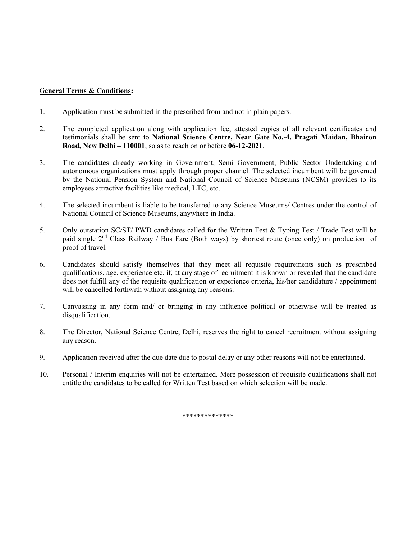#### G**eneral Terms & Conditions:**

- 1. Application must be submitted in the prescribed from and not in plain papers.
- 2. The completed application along with application fee, attested copies of all relevant certificates and testimonials shall be sent to **National Science Centre, Near Gate No.-4, Pragati Maidan, Bhairon Road, New Delhi – 110001**, so as to reach on or before **06-12-2021**.
- 3. The candidates already working in Government, Semi Government, Public Sector Undertaking and autonomous organizations must apply through proper channel. The selected incumbent will be governed by the National Pension System and National Council of Science Museums (NCSM) provides to its employees attractive facilities like medical, LTC, etc.
- 4. The selected incumbent is liable to be transferred to any Science Museums/ Centres under the control of National Council of Science Museums, anywhere in India.
- 5. Only outstation SC/ST/ PWD candidates called for the Written Test & Typing Test / Trade Test will be paid single  $2<sup>nd</sup>$  Class Railway / Bus Fare (Both ways) by shortest route (once only) on production of proof of travel.
- 6. Candidates should satisfy themselves that they meet all requisite requirements such as prescribed qualifications, age, experience etc. if, at any stage of recruitment it is known or revealed that the candidate does not fulfill any of the requisite qualification or experience criteria, his/her candidature / appointment will be cancelled forthwith without assigning any reasons.
- 7. Canvassing in any form and/ or bringing in any influence political or otherwise will be treated as disqualification.
- 8. The Director, National Science Centre, Delhi, reserves the right to cancel recruitment without assigning any reason.
- 9. Application received after the due date due to postal delay or any other reasons will not be entertained.
- 10. Personal / Interim enquiries will not be entertained. Mere possession of requisite qualifications shall not entitle the candidates to be called for Written Test based on which selection will be made.

\*\*\*\*\*\*\*\*\*\*\*\*\*\*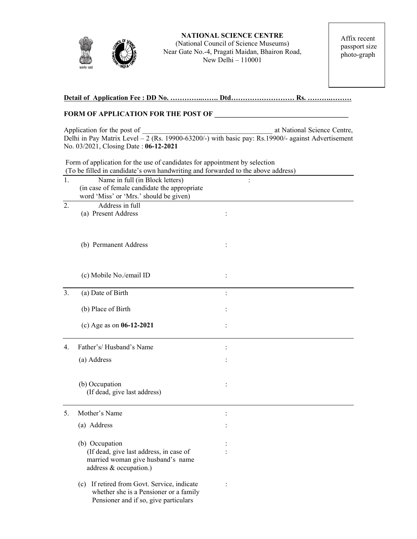

**NATIONAL SCIENCE CENTRE**  (National Council of Science Museums) Near Gate No.-4, Pragati Maidan, Bhairon Road, New Delhi – 110001

Affix recent passport size photo-graph

# **Detail of Application Fee : DD No. …………..……. Dtd……………………… Rs. ……….………**

#### **FORM OF APPLICATION FOR THE POST OF \_\_\_\_\_\_\_\_\_\_\_\_\_\_\_\_\_\_\_\_\_\_\_\_\_\_\_\_\_\_\_\_\_\_\_\_\_\_**

Application for the post of  $\qquad \qquad$  at National Science Centre, Delhi in Pay Matrix Level – 2 (Rs. 19900-63200/-) with basic pay: Rs.19900/- against Advertisement No. 03/2021, Closing Date : **06-12-2021**

 Form of application for the use of candidates for appointment by selection (To be filled in candidate's own handwriting and forwarded to the above address)

| 1.               | Name in full (in Block letters)              | $\ddot{\cdot}$ |  |
|------------------|----------------------------------------------|----------------|--|
|                  | (in case of female candidate the appropriate |                |  |
|                  | word 'Miss' or 'Mrs.' should be given)       |                |  |
| $\overline{2}$ . | Address in full                              |                |  |
|                  | (a) Present Address                          | $\ddot{\cdot}$ |  |
|                  |                                              |                |  |
|                  |                                              |                |  |
|                  |                                              |                |  |
|                  | (b) Permanent Address                        | $\ddot{\cdot}$ |  |
|                  |                                              |                |  |
|                  |                                              |                |  |
|                  | (c) Mobile No./email ID                      | :              |  |
|                  |                                              |                |  |
| 3.               | (a) Date of Birth                            | $\ddot{\cdot}$ |  |
|                  |                                              |                |  |
|                  | (b) Place of Birth                           |                |  |
|                  |                                              |                |  |
|                  | (c) Age as on $06-12-2021$                   |                |  |
|                  |                                              |                |  |
| 4.               | Father's/Husband's Name                      |                |  |
|                  |                                              |                |  |
|                  | (a) Address                                  |                |  |
|                  |                                              |                |  |
|                  | (b) Occupation                               |                |  |
|                  | (If dead, give last address)                 |                |  |
|                  |                                              |                |  |
| 5.               | Mother's Name                                | $\ddot{\cdot}$ |  |
|                  |                                              |                |  |
|                  | (a) Address                                  |                |  |
|                  |                                              |                |  |
|                  | (b) Occupation                               |                |  |
|                  | (If dead, give last address, in case of      |                |  |
|                  | married woman give husband's name            |                |  |
|                  | address & occupation.)                       |                |  |
|                  | (c) If retired from Govt. Service, indicate  | $\ddot{\cdot}$ |  |
|                  | whether she is a Pensioner or a family       |                |  |
|                  | Pensioner and if so, give particulars        |                |  |
|                  |                                              |                |  |
|                  |                                              |                |  |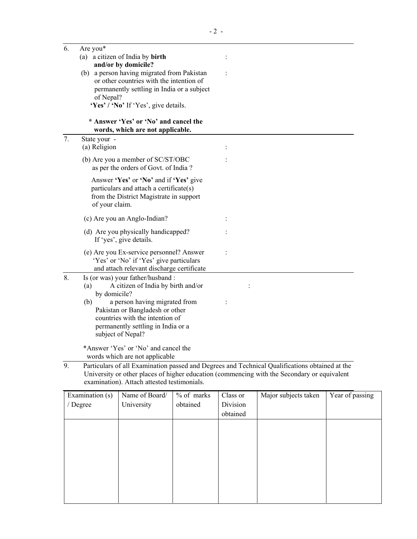| 6. | Are you*                                                                           |                                                                                                |
|----|------------------------------------------------------------------------------------|------------------------------------------------------------------------------------------------|
|    | (a) a citizen of India by birth                                                    | $\ddot{\cdot}$                                                                                 |
|    | and/or by domicile?                                                                |                                                                                                |
|    | (b) a person having migrated from Pakistan                                         |                                                                                                |
|    | or other countries with the intention of                                           |                                                                                                |
|    | permanently settling in India or a subject                                         |                                                                                                |
|    | of Nepal?                                                                          |                                                                                                |
|    | 'Yes' / 'No' If 'Yes', give details.                                               |                                                                                                |
|    | * Answer 'Yes' or 'No' and cancel the<br>words, which are not applicable.          |                                                                                                |
| 7. | State your -                                                                       |                                                                                                |
|    | (a) Religion                                                                       |                                                                                                |
|    | (b) Are you a member of SC/ST/OBC                                                  |                                                                                                |
|    | as per the orders of Govt. of India?                                               |                                                                                                |
|    |                                                                                    |                                                                                                |
|    | Answer 'Yes' or 'No' and if 'Yes' give                                             |                                                                                                |
|    | particulars and attach a certificate(s)<br>from the District Magistrate in support |                                                                                                |
|    | of your claim.                                                                     |                                                                                                |
|    |                                                                                    |                                                                                                |
|    | (c) Are you an Anglo-Indian?                                                       |                                                                                                |
|    | (d) Are you physically handicapped?                                                |                                                                                                |
|    | If 'yes', give details.                                                            |                                                                                                |
|    | (e) Are you Ex-service personnel? Answer                                           |                                                                                                |
|    | 'Yes' or 'No' if 'Yes' give particulars                                            |                                                                                                |
|    | and attach relevant discharge certificate                                          |                                                                                                |
| 8. | Is (or was) your father/husband:                                                   |                                                                                                |
|    | A citizen of India by birth and/or<br>(a)                                          |                                                                                                |
|    | by domicile?                                                                       |                                                                                                |
|    | a person having migrated from<br>(b)                                               |                                                                                                |
|    | Pakistan or Bangladesh or other                                                    |                                                                                                |
|    | countries with the intention of                                                    |                                                                                                |
|    | permanently settling in India or a<br>subject of Nepal?                            |                                                                                                |
|    |                                                                                    |                                                                                                |
|    | *Answer 'Yes' or 'No' and cancel the                                               |                                                                                                |
|    | words which are not applicable                                                     |                                                                                                |
| 9. |                                                                                    | Particulars of all Examination passed and Degrees and Technical Qualifications obtained at the |
|    |                                                                                    | University or other places of higher education (commencing with the Secondary or equivalent    |
|    | examination). Attach attested testimonials.                                        |                                                                                                |

| Examination (s) | Name of Board/ | % of marks | Class or | Major subjects taken | Year of passing |
|-----------------|----------------|------------|----------|----------------------|-----------------|
| / Degree        | University     | obtained   | Division |                      |                 |
|                 |                |            | obtained |                      |                 |
|                 |                |            |          |                      |                 |
|                 |                |            |          |                      |                 |
|                 |                |            |          |                      |                 |
|                 |                |            |          |                      |                 |
|                 |                |            |          |                      |                 |
|                 |                |            |          |                      |                 |
|                 |                |            |          |                      |                 |
|                 |                |            |          |                      |                 |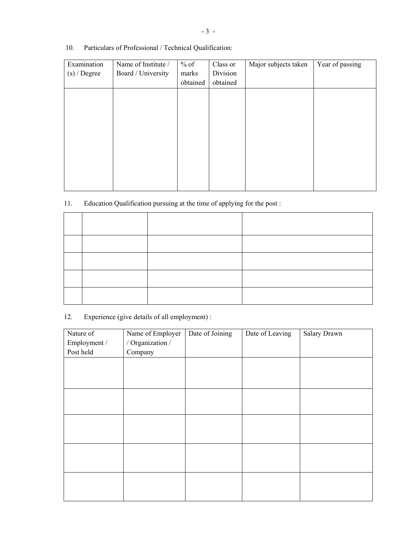10. Particulars of Professional / Technical Qualification:

| Examination    | Name of Institute / | $%$ of   | Class or | Major subjects taken | Year of passing |
|----------------|---------------------|----------|----------|----------------------|-----------------|
| $(s)$ / Degree | Board / University  | marks    | Division |                      |                 |
|                |                     | obtained | obtained |                      |                 |
|                |                     |          |          |                      |                 |
|                |                     |          |          |                      |                 |
|                |                     |          |          |                      |                 |
|                |                     |          |          |                      |                 |
|                |                     |          |          |                      |                 |
|                |                     |          |          |                      |                 |
|                |                     |          |          |                      |                 |
|                |                     |          |          |                      |                 |
|                |                     |          |          |                      |                 |
|                |                     |          |          |                      |                 |

# 11. Education Qualification pursuing at the time of applying for the post :

12. Experience (give details of all employment) :

| Nature of    | Name of Employer | Date of Joining | Date of Leaving | Salary Drawn |
|--------------|------------------|-----------------|-----------------|--------------|
| Employment / | / Organization / |                 |                 |              |
| Post held    | Company          |                 |                 |              |
|              |                  |                 |                 |              |
|              |                  |                 |                 |              |
|              |                  |                 |                 |              |
|              |                  |                 |                 |              |
|              |                  |                 |                 |              |
|              |                  |                 |                 |              |
|              |                  |                 |                 |              |
|              |                  |                 |                 |              |
|              |                  |                 |                 |              |
|              |                  |                 |                 |              |
|              |                  |                 |                 |              |
|              |                  |                 |                 |              |
|              |                  |                 |                 |              |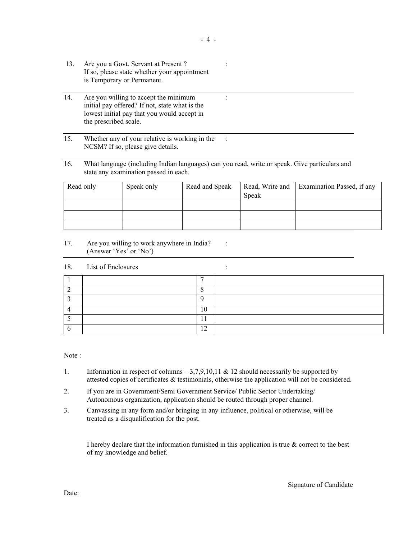- 13. Are you a Govt. Servant at Present ? : If so, please state whether your appointment is Temporary or Permanent.
- 14. Are you willing to accept the minimum : initial pay offered? If not, state what is the lowest initial pay that you would accept in the prescribed scale.
- 15. Whether any of your relative is working in the : NCSM? If so, please give details.
- 16. What language (including Indian languages) can you read, write or speak. Give particulars and state any examination passed in each.

| Read only | Speak only | Read and Speak |       | Read, Write and   Examination Passed, if any |
|-----------|------------|----------------|-------|----------------------------------------------|
|           |            |                | Speak |                                              |
|           |            |                |       |                                              |
|           |            |                |       |                                              |
|           |            |                |       |                                              |

17. Are you willing to work anywhere in India? : (Answer 'Yes' or 'No')

#### 18. List of Enclosures :

|  | 10             |  |
|--|----------------|--|
|  |                |  |
|  | 1 <sub>0</sub> |  |

Note :

- 1. Information in respect of columns  $-3.7,9,10,11 \& 12$  should necessarily be supported by attested copies of certificates & testimonials, otherwise the application will not be considered.
- 2. If you are in Government/Semi Government Service/ Public Sector Undertaking/ Autonomous organization, application should be routed through proper channel.
- 3. Canvassing in any form and/or bringing in any influence, political or otherwise, will be treated as a disqualification for the post.

I hereby declare that the information furnished in this application is true & correct to the best of my knowledge and belief.